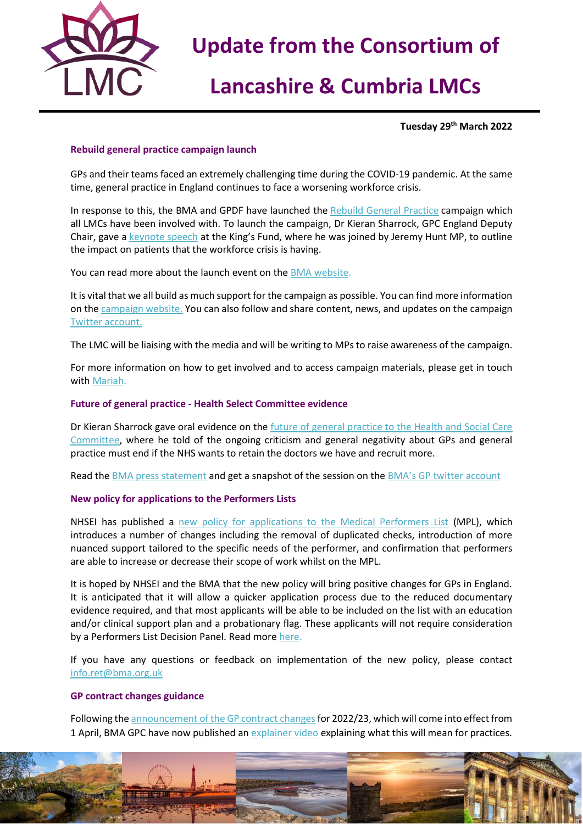

## **Lancashire & Cumbria LMCs**

**Tuesday 29th March 2022**

### **Rebuild general practice campaign launch**

GPs and their teams faced an extremely challenging time during the COVID-19 pandemic. At the same time, general practice in England continues to face a worsening workforce crisis.

In response to this, the BMA and GPDF have launched the [Rebuild General Practice](https://bma-mail.org.uk/t/JVX-7SE2J-JCJOU4-4QTDV1-1/c.aspx) campaign which all LMCs have been involved with. To launch the campaign, Dr Kieran Sharrock, GPC England Deputy Chair, gave a [keynote speech](https://bma-mail.org.uk/t/JVX-7SE2J-JCJOU4-4QTDV2-1/c.aspx) at the King's Fund, where he was joined by Jeremy Hunt MP, to outline the impact on patients that the workforce crisis is having.

You can read more about the launch event on th[e BMA website.](https://www.bma.org.uk/news-and-opinion/gp-campaign-time-to-rebuild-general-practice)

It is vital that we all build as much support for the campaign as possible. You can find more information on the [campaign website.](https://rebuildgp.co.uk/) You can also follow and share content, news, and updates on the campaign [Twitter account.](https://twitter.com/rebuildgp)

The LMC will be liaising with the media and will be writing to MPs to raise awareness of the campaign.

For more information on how to get involved and to access campaign materials, please get in touch with [Mariah.](mailto:maria.mulberry@nwlmcs.org)

### **Future of general practice - Health Select Committee evidence**

Dr Kieran Sharrock gave oral evidence on the [future of general practice to the Health and Social Care](https://parliamentlive.tv/event/index/2db75856-7af1-4c6c-8a81-1195325864a7?domain=parliamentlive.tv)  [Committee,](https://parliamentlive.tv/event/index/2db75856-7af1-4c6c-8a81-1195325864a7?domain=parliamentlive.tv) where he told of the ongoing criticism and general negativity about GPs and general practice must end if the NHS wants to retain the doctors we have and recruit more.

Read th[e BMA press statement](https://www.bma.org.uk/bma-media-centre/dial-down-the-negative-and-critical-commentary-against-gps-or-the-nhs-will-lose-even-more-doctors-bma-tells-health-select-committee) and get a snapshot of the session on the [BMA's GP twitter account](https://twitter.com/BMA_GP/status/1503765235374735362)

### **New policy for applications to the Performers Lists**

NHSEI has published a [new policy for applications to the Medical Performers List](https://www.england.nhs.uk/publication/policy-for-managing-applications-to-join-the-england-performers-lists/) (MPL), which introduces a number of changes including the removal of duplicated checks, introduction of more nuanced support tailored to the specific needs of the performer, and confirmation that performers are able to increase or decrease their scope of work whilst on the MPL.

It is hoped by NHSEI and the BMA that the new policy will bring positive changes for GPs in England. It is anticipated that it will allow a quicker application process due to the reduced documentary evidence required, and that most applicants will be able to be included on the list with an education and/or clinical support plan and a probationary flag. These applicants will not require consideration by a Performers List Decision Panel. Read more [here.](https://www.england.nhs.uk/publication/policy-for-managing-applications-to-join-the-england-performers-lists/)

If you have any questions or feedback on implementation of the new policy, please contact [info.ret@bma.org.uk](mailto:info.ret@bma.org.uk)

### **GP contract changes guidance**

Following th[e announcement of the GP contract changes](https://www.england.nhs.uk/publication/letter-general-practice-contract-arrangements-in-2022-23/) for 2022/23, which will come into effect from 1 April, BMA GPC have now published a[n explainer video](https://www.bma.org.uk/pay-and-contracts/contracts/gp-contract/gp-contract-changes-england-202223) explaining what this will mean for practices*.*

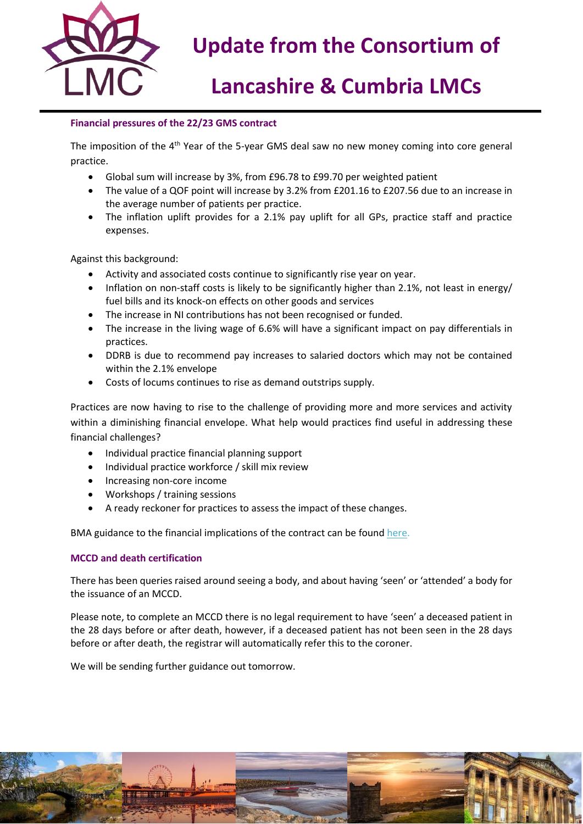

## **Lancashire & Cumbria LMCs**

### **Financial pressures of the 22/23 GMS contract**

The imposition of the  $4<sup>th</sup>$  Year of the 5-year GMS deal saw no new money coming into core general practice.

- Global sum will increase by 3%, from £96.78 to £99.70 per weighted patient
- The value of a QOF point will increase by 3.2% from £201.16 to £207.56 due to an increase in the average number of patients per practice.
- The inflation uplift provides for a 2.1% pay uplift for all GPs, practice staff and practice expenses.

Against this background:

- Activity and associated costs continue to significantly rise year on year.
- Inflation on non-staff costs is likely to be significantly higher than 2.1%, not least in energy/ fuel bills and its knock-on effects on other goods and services
- The increase in NI contributions has not been recognised or funded.
- The increase in the living wage of 6.6% will have a significant impact on pay differentials in practices.
- DDRB is due to recommend pay increases to salaried doctors which may not be contained within the 2.1% envelope
- Costs of locums continues to rise as demand outstrips supply.

Practices are now having to rise to the challenge of providing more and more services and activity within a diminishing financial envelope. What help would practices find useful in addressing these financial challenges?

- Individual practice financial planning support
- Individual practice workforce / skill mix review
- Increasing non-core income
- Workshops / training sessions
- A ready reckoner for practices to assess the impact of these changes.

BMA guidance to the financial implications of the contract can be found [here.](https://www.bma.org.uk/pay-and-contracts/contracts/gp-contract/gp-contract-changes-england-202223)

### **MCCD and death certification**

There has been queries raised around seeing a body, and about having 'seen' or 'attended' a body for the issuance of an MCCD.

Please note, to complete an MCCD there is no legal requirement to have 'seen' a deceased patient in the 28 days before or after death, however, if a deceased patient has not been seen in the 28 days before or after death, the registrar will automatically refer this to the coroner.

We will be sending further guidance out tomorrow.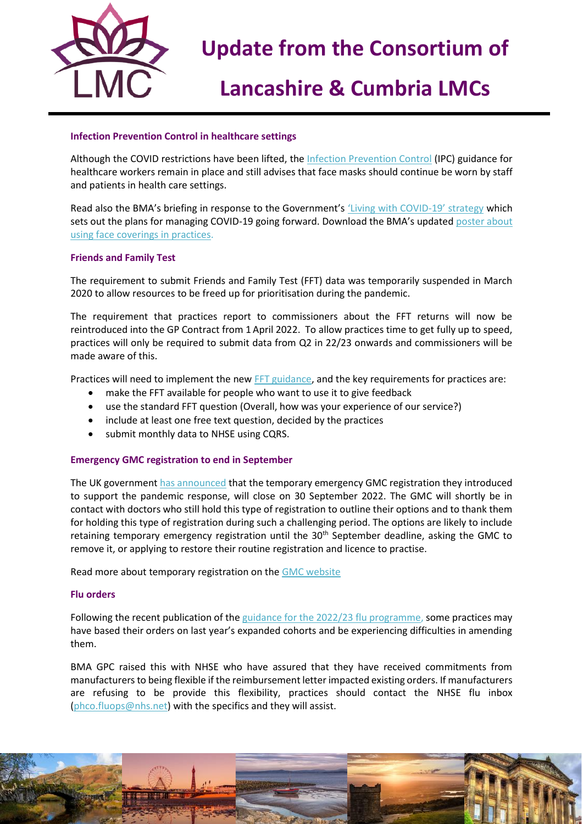

## **Lancashire & Cumbria LMCs**

### **Infection Prevention Control in healthcare settings**

Although the COVID restrictions have been lifted, the [Infection Prevention Control](https://www.gov.uk/government/publications/wuhan-novel-coronavirus-infection-prevention-and-control) (IPC) guidance for healthcare workers remain in place and still advises that face masks should continue be worn by staff and patients in health care settings.

Read also the BMA's briefing in response to the Government's ['Living with COVID](https://assets.publishing.service.gov.uk/government/uploads/system/uploads/attachment_data/file/1056229/COVID-19_Response_-_Living_with_COVID-19.pdf)-19' strategy which sets out the plans for managing COVID-19 going forward. Download the BMA's updated poster about [using face coverings in practices.](https://www.bma.org.uk/media/5321/bma-visiting-your-gp-poster-mar2022.pdf)

### **Friends and Family Test**

The requirement to submit Friends and Family Test (FFT) data was temporarily suspended in March 2020 to allow resources to be freed up for prioritisation during the pandemic.

The requirement that practices report to commissioners about the FFT returns will now be reintroduced into the GP Contract from 1 April 2022. To allow practices time to get fully up to speed, practices will only be required to submit data from Q2 in 22/23 onwards and commissioners will be made aware of this.

Practices will need to implement the new [FFT guidance,](https://www.england.nhs.uk/wp-content/uploads/2019/09/using-the-fft-to-improve-patient-experience-guidance-v2.pdf) and the key requirements for practices are:

- make the FFT available for people who want to use it to give feedback
- use the standard FFT question (Overall, how was your experience of our service?)
- include at least one free text question, decided by the practices
- submit monthly data to NHSE using CQRS.

### **Emergency GMC registration to end in September**

The UK government [has announced](https://questions-statements.parliament.uk/written-statements/detail/2022-03-16/hlws672) that the temporary emergency GMC registration they introduced to support the pandemic response, will close on 30 September 2022. The GMC will shortly be in contact with doctors who still hold this type of registration to outline their options and to thank them for holding this type of registration during such a challenging period. The options are likely to include retaining temporary emergency registration until the 30<sup>th</sup> September deadline, asking the GMC to remove it, or applying to restore their routine registration and licence to practise.

Read more about temporary registration on the [GMC website](https://protect-eu.mimecast.com/s/bA9BCLJEEiRn6P1hqxvLq?domain=gmc-uk.org)

### **Flu orders**

Following the recent publication of th[e guidance for the 2022/23 flu programme,](https://www.england.nhs.uk/wp-content/uploads/2019/12/B1395-reimbursable-vaccines-and-eligible-cohorts-22-23-flu-vaccination-programme-guidance-march-2022.pdf) some practices may have based their orders on last year's expanded cohorts and be experiencing difficulties in amending them.

BMA GPC raised this with NHSE who have assured that they have received commitments from manufacturers to being flexible if the reimbursement letter impacted existing orders. If manufacturers are refusing to be provide this flexibility, practices should contact the NHSE flu inbox [\(phco.fluops@nhs.net\)](mailto:phco.fluops@nhs.net) with the specifics and they will assist.